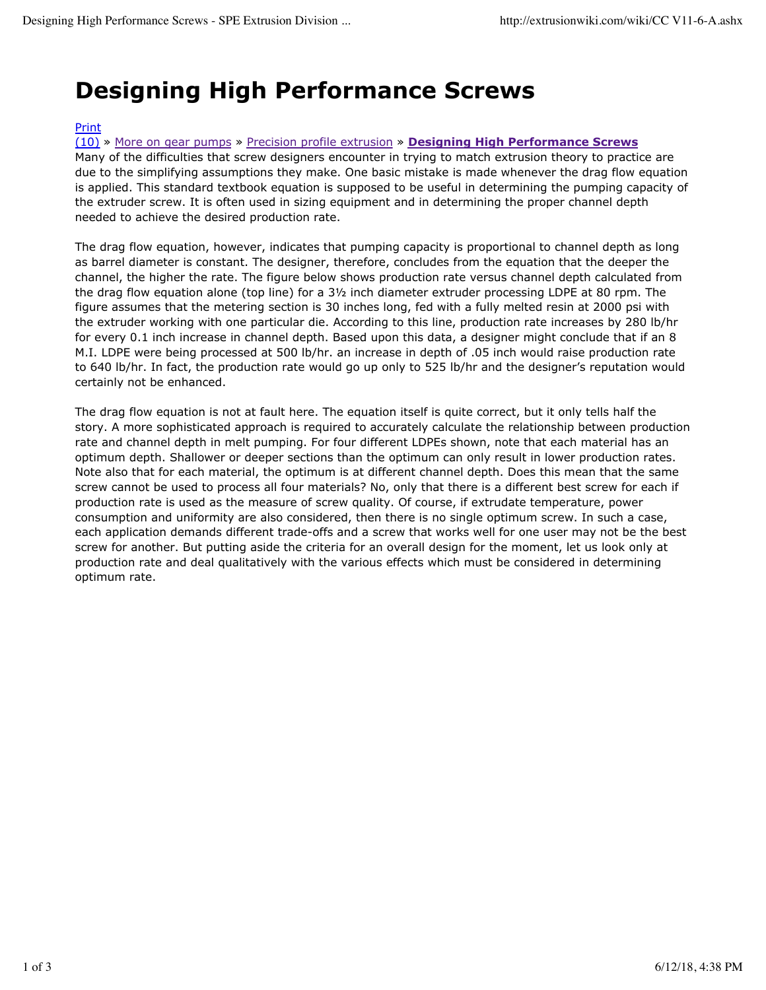## **Designing High Performance Screws**

## Print

(10) » More on gear pumps » Precision profile extrusion » **Designing High Performance Screws**

Many of the difficulties that screw designers encounter in trying to match extrusion theory to practice are due to the simplifying assumptions they make. One basic mistake is made whenever the drag flow equation is applied. This standard textbook equation is supposed to be useful in determining the pumping capacity of the extruder screw. It is often used in sizing equipment and in determining the proper channel depth needed to achieve the desired production rate.

The drag flow equation, however, indicates that pumping capacity is proportional to channel depth as long as barrel diameter is constant. The designer, therefore, concludes from the equation that the deeper the channel, the higher the rate. The figure below shows production rate versus channel depth calculated from the drag flow equation alone (top line) for a 3½ inch diameter extruder processing LDPE at 80 rpm. The figure assumes that the metering section is 30 inches long, fed with a fully melted resin at 2000 psi with the extruder working with one particular die. According to this line, production rate increases by 280 lb/hr for every 0.1 inch increase in channel depth. Based upon this data, a designer might conclude that if an 8 M.I. LDPE were being processed at 500 lb/hr. an increase in depth of .05 inch would raise production rate to 640 lb/hr. In fact, the production rate would go up only to 525 lb/hr and the designer's reputation would certainly not be enhanced.

The drag flow equation is not at fault here. The equation itself is quite correct, but it only tells half the story. A more sophisticated approach is required to accurately calculate the relationship between production rate and channel depth in melt pumping. For four different LDPEs shown, note that each material has an optimum depth. Shallower or deeper sections than the optimum can only result in lower production rates. Note also that for each material, the optimum is at different channel depth. Does this mean that the same screw cannot be used to process all four materials? No, only that there is a different best screw for each if production rate is used as the measure of screw quality. Of course, if extrudate temperature, power consumption and uniformity are also considered, then there is no single optimum screw. In such a case, each application demands different trade-offs and a screw that works well for one user may not be the best screw for another. But putting aside the criteria for an overall design for the moment, let us look only at production rate and deal qualitatively with the various effects which must be considered in determining optimum rate.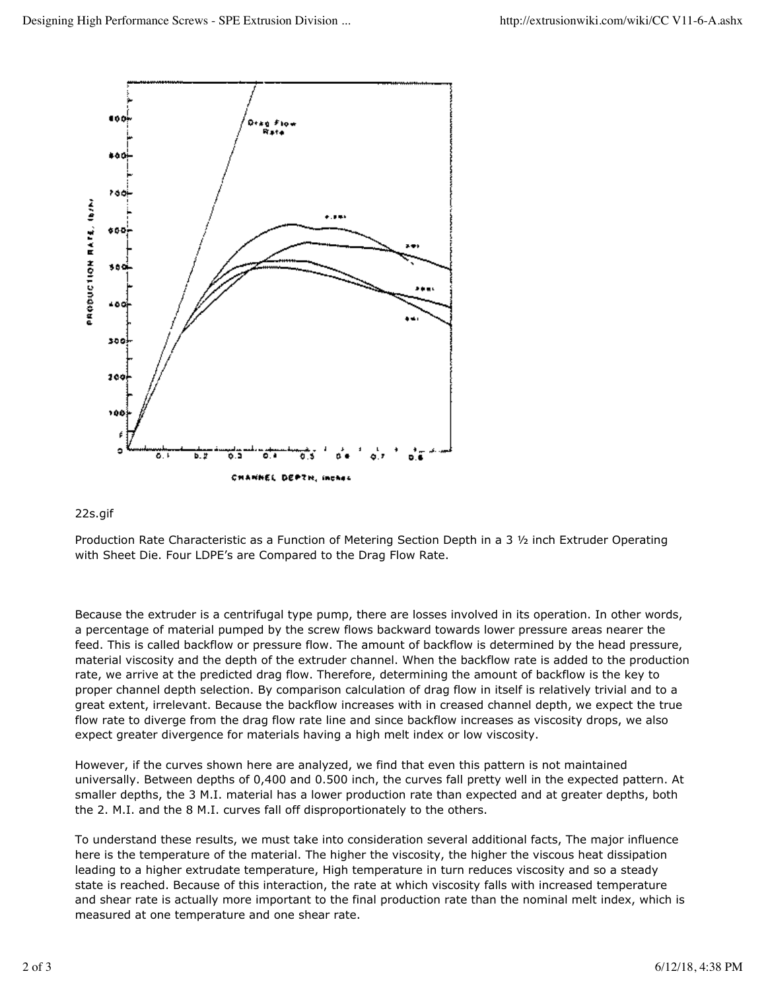

## 22s.gif

Production Rate Characteristic as a Function of Metering Section Depth in a 3 ½ inch Extruder Operating with Sheet Die. Four LDPE's are Compared to the Drag Flow Rate.

Because the extruder is a centrifugal type pump, there are losses involved in its operation. In other words, a percentage of material pumped by the screw flows backward towards lower pressure areas nearer the feed. This is called backflow or pressure flow. The amount of backflow is determined by the head pressure, material viscosity and the depth of the extruder channel. When the backflow rate is added to the production rate, we arrive at the predicted drag flow. Therefore, determining the amount of backflow is the key to proper channel depth selection. By comparison calculation of drag flow in itself is relatively trivial and to a great extent, irrelevant. Because the backflow increases with in creased channel depth, we expect the true flow rate to diverge from the drag flow rate line and since backflow increases as viscosity drops, we also expect greater divergence for materials having a high melt index or low viscosity.

However, if the curves shown here are analyzed, we find that even this pattern is not maintained universally. Between depths of 0,400 and 0.500 inch, the curves fall pretty well in the expected pattern. At smaller depths, the 3 M.I. material has a lower production rate than expected and at greater depths, both the 2. M.I. and the 8 M.I. curves fall off disproportionately to the others.

To understand these results, we must take into consideration several additional facts, The major influence here is the temperature of the material. The higher the viscosity, the higher the viscous heat dissipation leading to a higher extrudate temperature, High temperature in turn reduces viscosity and so a steady state is reached. Because of this interaction, the rate at which viscosity falls with increased temperature and shear rate is actually more important to the final production rate than the nominal melt index, which is measured at one temperature and one shear rate.